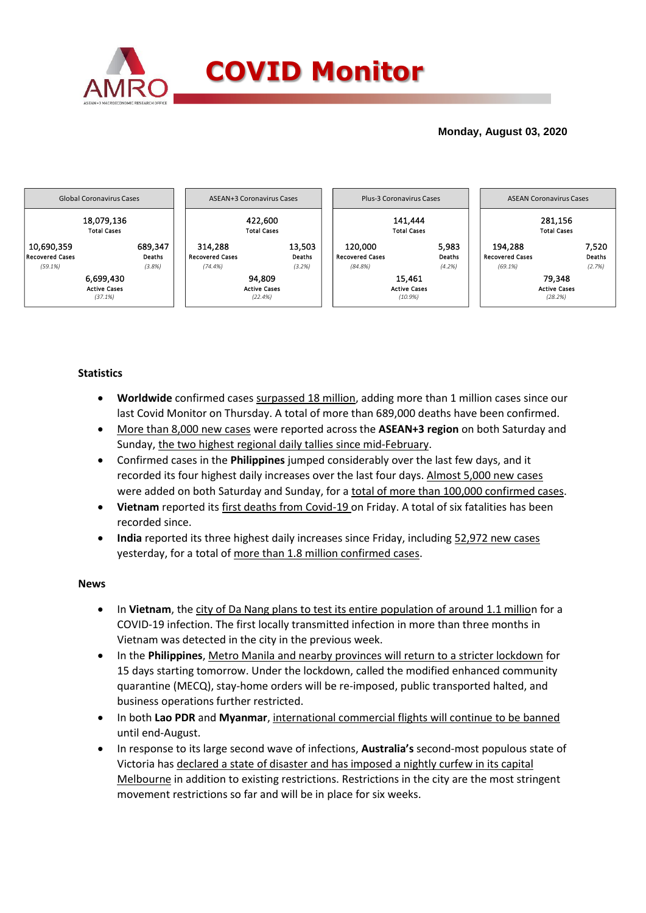

## **Monday, August 03, 2020**



### **Statistics**

- **Worldwide** confirmed cases surpassed 18 million, adding more than 1 million cases since our last Covid Monitor on Thursday. A total of more than 689,000 deaths have been confirmed.
- More than 8,000 new cases were reported across the **ASEAN+3 region** on both Saturday and Sunday, the two highest regional daily tallies since mid-February.
- Confirmed cases in the **Philippines** jumped considerably over the last few days, and it recorded its four highest daily increases over the last four days. Almost 5,000 new cases were added on both Saturday and Sunday, for a total of more than 100,000 confirmed cases.
- **Vietnam** reported its first deaths from Covid-19 on Friday. A total of six fatalities has been recorded since.
- **India** reported its three highest daily increases since Friday, including 52,972 new cases yesterday, for a total of more than 1.8 million confirmed cases.

### **News**

- In **Vietnam**, the city of Da Nang plans to test its entire population of around 1.1 million for a COVID-19 infection. The first locally transmitted infection in more than three months in Vietnam was detected in the city in the previous week.
- In the **Philippines**, Metro Manila and nearby provinces will return to a stricter lockdown for 15 days starting tomorrow. Under the lockdown, called the modified enhanced community quarantine (MECQ), stay-home orders will be re-imposed, public transported halted, and business operations further restricted.
- In both **Lao PDR** and **Myanmar**, international commercial flights will continue to be banned until end-August.
- In response to its large second wave of infections, **Australia's** second-most populous state of Victoria has declared a state of disaster and has imposed a nightly curfew in its capital Melbourne in addition to existing restrictions. Restrictions in the city are the most stringent movement restrictions so far and will be in place for six weeks.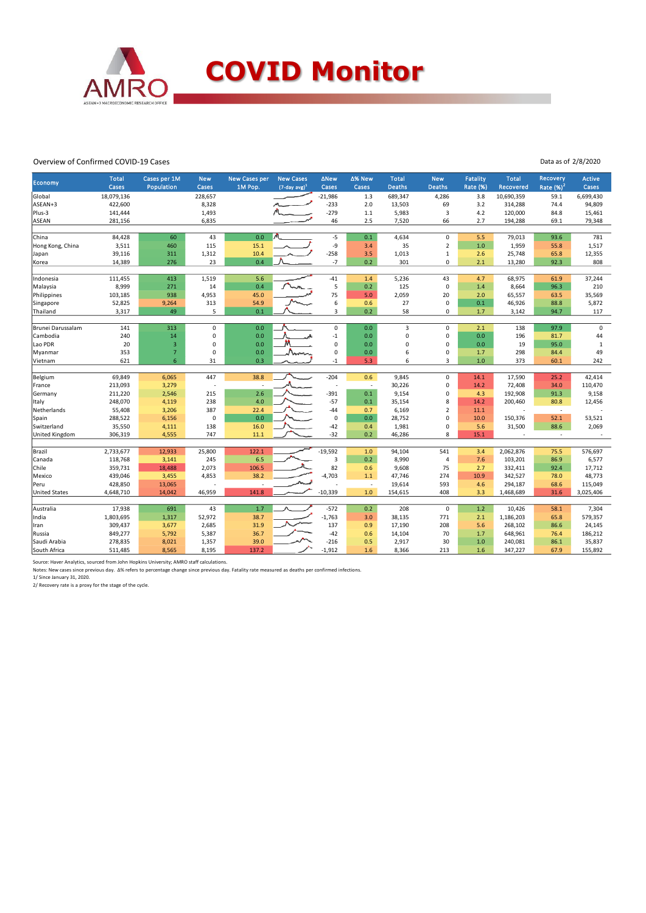

#### Overview of Confirmed COVID-19 Cases

| <b>Economy</b>       | <b>Total</b> | Cases per 1M            | <b>New</b>               | <b>New Cases per</b> | <b>New Cases</b>    | <b>ANew</b> | ∆% New | <b>Total</b>  | <b>New</b>     | <b>Fatality</b> | <b>Total</b> | <b>Recovery</b>          | <b>Active</b> |
|----------------------|--------------|-------------------------|--------------------------|----------------------|---------------------|-------------|--------|---------------|----------------|-----------------|--------------|--------------------------|---------------|
|                      | <b>Cases</b> | Population              | Cases                    | 1M Pop.              | $(7$ -day avg $)^1$ | Cases       | Cases  | <b>Deaths</b> | <b>Deaths</b>  | Rate (%)        | Recovered    | Rate (%) <sup>21</sup>   | Cases         |
| Global               | 18,079,136   |                         | 228,657                  |                      |                     | $-21,986$   | 1.3    | 689,347       | 4,286          | 3.8             | 10,690,359   | 59.1                     | 6,699,430     |
| ASEAN+3              | 422,600      |                         | 8,328                    |                      |                     | $-233$      | 2.0    | 13,503        | 69             | 3.2             | 314,288      | 74.4                     | 94,809        |
| Plus-3               | 141,444      |                         | 1,493                    |                      |                     | $-279$      | 1.1    | 5,983         | $\overline{3}$ | 4.2             | 120,000      | 84.8                     | 15,461        |
| <b>ASEAN</b>         | 281,156      |                         | 6,835                    |                      |                     | 46          | 2.5    | 7,520         | 66             | 2.7             | 194,288      | 69.1                     | 79,348        |
| China                | 84,428       | 60                      | 43                       | 0.0                  |                     | $-5$        | 0.1    | 4,634         | 0              | 5.5             | 79,013       | 93.6                     | 781           |
| Hong Kong, China     | 3,511        | 460                     | 115                      | 15.1                 |                     | -9          | 3.4    | 35            | $\overline{2}$ | 1.0             | 1,959        | 55.8                     | 1,517         |
| Japan                | 39,116       | 311                     | 1,312                    | 10.4                 |                     | $-258$      | 3.5    | 1,013         | $\mathbf 1$    | 2.6             | 25,748       | 65.8                     | 12,355        |
| Korea                | 14,389       | 276                     | 23                       | 0.4                  |                     | $-7$        | 0.2    | 301           | 0              | 2.1             | 13,280       | 92.3                     | 808           |
|                      |              |                         |                          |                      |                     |             |        |               |                |                 |              |                          |               |
| Indonesia            | 111,455      | 413                     | 1,519                    | 5.6                  |                     | $-41$       | 1.4    | 5,236         | 43             | 4.7             | 68,975       | 61.9                     | 37,244        |
| Malaysia             | 8,999        | 271                     | 14                       | 0.4                  |                     | 5           | 0.2    | 125           | $\mathbf 0$    | 1.4             | 8,664        | 96.3                     | 210           |
| Philippines          | 103,185      | 938                     | 4,953                    | 45.0                 |                     | 75          | 5.0    | 2,059         | 20             | 2.0             | 65,557       | 63.5                     | 35,569        |
| Singapore            | 52,825       | 9,264                   | 313                      | 54.9                 |                     | 6           | 0.6    | 27            | $\mathbf 0$    | 0.1             | 46,926       | 88.8                     | 5,872         |
| Thailand             | 3,317        | 49                      | 5                        | 0.1                  |                     | 3           | 0.2    | 58            | 0              | 1.7             | 3,142        | 94.7                     | 117           |
| Brunei Darussalam    | 141          | 313                     | $\mathsf 0$              | 0.0                  |                     | $\mathsf 0$ | 0.0    | $\mathsf 3$   | $\mathbf 0$    | 2.1             | 138          | 97.9                     | $\mathsf 0$   |
| Cambodia             | 240          | 14                      | $\pmb{0}$                | 0.0                  |                     | $-1$        | 0.0    | 0             | 0              | 0.0             | 196          | 81.7                     | 44            |
| Lao PDR              | 20           | $\overline{\mathbf{3}}$ | 0                        | 0.0                  |                     | $\mathsf 0$ | 0.0    | $\mathbf 0$   | 0              | 0.0             | 19           | 95.0                     | $\mathbf{1}$  |
| Myanmar              | 353          | $\overline{7}$          | $\mathbf 0$              | 0.0                  | mm                  | $\mathbf 0$ | 0.0    | 6             | 0              | 1.7             | 298          | 84.4                     | 49            |
| Vietnam              | 621          | 6                       | 31                       | 0.3                  |                     | $-1$        | 5.3    | 6             | 3              | 1.0             | 373          | 60.1                     | 242           |
|                      |              |                         |                          |                      |                     |             |        |               |                |                 |              |                          |               |
| Belgium              | 69,849       | 6,065                   | 447                      | 38.8                 |                     | $-204$      | 0.6    | 9,845         | 0              | 14.1            | 17,590       | 25.2                     | 42,414        |
| France               | 213,093      | 3,279                   | $\overline{\phantom{a}}$ |                      |                     | ÷,          | J.     | 30,226        | 0              | 14.2            | 72,408       | 34.0                     | 110,470       |
| Germany              | 211,220      | 2,546                   | 215                      | 2.6                  |                     | $-391$      | 0.1    | 9,154         | 0              | 4.3             | 192,908      | 91.3                     | 9,158         |
| Italy                | 248,070      | 4,119                   | 238                      | 4.0                  |                     | $-57$       | 0.1    | 35,154        | 8              | 14.2            | 200,460      | 80.8                     | 12,456        |
| Netherlands          | 55,408       | 3,206                   | 387                      | 22.4                 |                     | $-44$       | 0.7    | 6,169         | $\overline{2}$ | 11.1            |              | $\overline{\phantom{a}}$ |               |
| Spain                | 288,522      | 6,156                   | $\mathbf 0$              | 0.0                  |                     | $\mathsf 0$ | 0.0    | 28,752        | 0              | 10.0            | 150,376      | 52.1                     | 53,521        |
| Switzerland          | 35,550       | 4,111                   | 138                      | 16.0                 |                     | $-42$       | 0.4    | 1,981         | 0              | 5.6             | 31,500       | 88.6                     | 2,069         |
| United Kingdom       | 306,319      | 4,555                   | 747                      | 11.1                 |                     | $-32$       | 0.2    | 46,286        | 8              | 15.1            |              | $\overline{\phantom{a}}$ |               |
| Brazil               | 2,733,677    | 12,933                  | 25,800                   | 122.1                |                     | $-19,592$   | 1.0    | 94,104        | 541            | 3.4             | 2,062,876    | 75.5                     | 576,697       |
| Canada               | 118,768      | 3,141                   | 245                      | 6.5                  |                     | 3           | 0.2    | 8,990         | $\overline{4}$ | 7.6             | 103,201      | 86.9                     | 6,577         |
| Chile                | 359,731      | 18,488                  | 2,073                    | 106.5                |                     | 82          | 0.6    | 9,608         | 75             | 2.7             | 332,411      | 92.4                     | 17,712        |
| Mexico               | 439,046      | 3,455                   | 4,853                    | 38.2                 |                     | $-4,703$    | 1.1    | 47,746        | 274            | 10.9            | 342,527      | 78.0                     | 48,773        |
| Peru                 | 428,850      | 13,065                  |                          | ÷.                   |                     |             | $\sim$ | 19,614        | 593            | 4.6             | 294,187      | 68.6                     | 115,049       |
| <b>United States</b> | 4,648,710    | 14,042                  | 46,959                   | 141.8                |                     | $-10,339$   | 1.0    | 154,615       | 408            | 3.3             | 1,468,689    | 31.6                     | 3,025,406     |
|                      |              |                         |                          |                      |                     |             |        |               |                |                 |              |                          |               |
| Australia            | 17,938       | 691                     | 43                       | 1.7                  |                     | $-572$      | 0.2    | 208           | $\mathbf 0$    | 1.2             | 10,426       | 58.1                     | 7,304         |
| India                | 1,803,695    | 1,317                   | 52,972                   | 38.7                 |                     | $-1,763$    | 3.0    | 38,135        | 771            | 2.1             | 1,186,203    | 65.8                     | 579,357       |
| Iran                 | 309,437      | 3,677                   | 2,685                    | 31.9                 |                     | 137         | 0.9    | 17,190        | 208            | 5.6             | 268,102      | 86.6                     | 24,145        |
| Russia               | 849,277      | 5,792                   | 5,387                    | 36.7                 |                     | $-42$       | 0.6    | 14,104        | 70             | 1.7             | 648,961      | 76.4                     | 186,212       |
| Saudi Arabia         | 278,835      | 8,021                   | 1,357                    | 39.0                 |                     | $-216$      | 0.5    | 2,917         | 30             | 1.0             | 240,081      | 86.1                     | 35,837        |
| South Africa         | 511,485      | 8,565                   | 8,195                    | 137.2                |                     | $-1,912$    | 1.6    | 8,366         | 213            | 1.6             | 347,227      | 67.9                     | 155,892       |

Source: Haver Analytics, sourced from John Hopkins University; AMRO staff calculations.<br>Notes: New cases since previous day. ∆% refers to percentage change since previous day. Fatality rate measured as deaths per confirmed